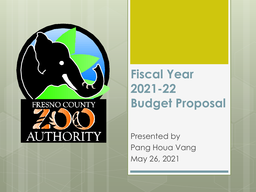

**Fiscal Year 2021-22 Budget Proposal**

Presented by Pang Houa Vang May 26, 2021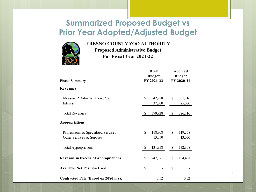#### **Summarized Proposed Budget vs Prior Year Adopted/Adjusted Budget**



#### **FRESNO COUNTY ZOO AUTHORITY**

**Proposed Administrative Budget For Fiscal Year 2021-22**

| <b>Fiscal Summary</b>                                            |              | <b>Draft</b><br><b>Budget</b><br>FY 2021-22 |               | <b>Adopted</b><br><b>Budget</b><br>FY 2020-21 |  |
|------------------------------------------------------------------|--------------|---------------------------------------------|---------------|-----------------------------------------------|--|
| Revenues                                                         |              |                                             |               |                                               |  |
| Measure Z Administration $(2\%)$<br>Interest                     | \$           | 342,928<br>37,000                           | \$            | 301,716<br>25,000                             |  |
| <b>Total Revenues</b>                                            | <sup>S</sup> | 379,928                                     | $\mathcal{S}$ | 326,716                                       |  |
| <b>Appropriations</b>                                            |              |                                             |               |                                               |  |
| Professional & Specialized Services<br>Other Services & Supplies | \$           | 118,908<br>13,050                           | \$            | 119,258<br>13,050                             |  |
| <b>Total Appropriations</b>                                      | \$           | 131,958                                     | \$            | 132,308                                       |  |
| <b>Revenue in Excess of Appropriations</b>                       | \$           | 247,971                                     | \$            | 194,408                                       |  |
| <b>Available Net Position Used</b>                               | \$           |                                             | \$            |                                               |  |
| Contracted FTE (Based on 2080 hrs):                              |              | 0.52                                        |               | 0.52                                          |  |

1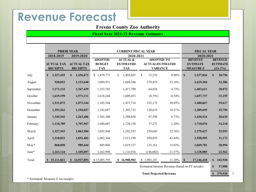### **Revenue Forecast**

#### **Fresno County Zoo Authority**

#### **Fiscal Year 2021-22 Revenue Estimates**

|           |                                      | <b>PRIOR YEAR</b>                    | <b>CURRENT FISCAL YEAR</b>                    |                                                       |                                                                 |            | <b>FISCAL YEAR</b>                                   |                                                 |  |
|-----------|--------------------------------------|--------------------------------------|-----------------------------------------------|-------------------------------------------------------|-----------------------------------------------------------------|------------|------------------------------------------------------|-------------------------------------------------|--|
|           | 2018-2019                            | 2019-2020                            | 2020-2021                                     |                                                       |                                                                 | 2020-2021  |                                                      |                                                 |  |
|           | <b>ACTUAL TAX</b><br><b>RECEIPTS</b> | <b>ACTUAL TAX</b><br><b>RECEIPTS</b> | <b>ADOPTED</b><br><b>BUDGET</b><br><b>TAX</b> | <b>ACTUAL &amp;</b><br><b>ESTIMATED</b><br><b>TAX</b> | <b>ADOPTED TO</b><br><b>ACTUAL/ESTIMATED</b><br><b>VARIANCE</b> |            | <b>REVENUE</b><br><b>ESTIMATE</b><br><b>MEASUREZ</b> | <b>REVENUE</b><br><b>ESTIMATE</b><br>$(ZA 2\%)$ |  |
| July      | S<br>1,227,435                       | S<br>1,436,673                       | \$1,479,773                                   | S.<br>1,493,025                                       | \$<br>13,252                                                    | $0.90\%$   | $\mathbf S$<br>1,537,816                             | 30,756<br>$\mathbf{s}$                          |  |
| August    | 928,052                              | 1,123,640                            | 1,089,931                                     | 1,669,386                                             | 579,455                                                         | 53.16%     | 1,619,304                                            | 32,386                                          |  |
| September | 1,171,132                            | 1,367,439                            | 1,353,765                                     | 1,417,789                                             | 64,024                                                          | 4.73%      | 1,403,611                                            | 28,072                                          |  |
| October   | 1,619,199                            | 1,571,111                            | 1,618,244                                     | 1,609,453                                             | (8,791)                                                         | $-0.54%$   | 1,657,737                                            | 33,155                                          |  |
| November  | 1,531,072                            | 1,073,344                            | 1,105,544                                     | 1,437,716                                             | 332,172                                                         | 30.05%     | 1,480,847                                            | 29,617                                          |  |
| December  | 1,392,262                            | 1,194,027                            | 1,182,087                                     | 1,302,722                                             | 120,635                                                         | 10.21%     | 1,289,695                                            | 25,794                                          |  |
| January   | 1,345,542                            | 1,263,406                            | 1,301,308                                     | 1,388,858                                             | 87,550                                                          | 6.73%      | 1,430,524                                            | 28,610                                          |  |
| February  | 1,118,789                            | 1,707,967                            | 1,690,887                                     | 1,728,158                                             | 37,271                                                          | 2.20%      | 1,710,876                                            | 34,218                                          |  |
| March     | 1,327,543                            | 1,063,584                            | 1,052,948                                     | 1,292,553                                             | 239,605                                                         | 22.76%     | 1,279,627                                            | 25,593                                          |  |
| April     | 1,318,821                            | 1,031,402                            | 1,062,344                                     | 1,513,199                                             | 450,855                                                         | 42.44%     | 1,558,595                                            | 31,172                                          |  |
| $M$ ay*   | 868,850                              | 989,444                              | 885,966                                       | 1,019,127                                             | 133,161                                                         | 15.03%     | 1,049,701                                            | 20,994                                          |  |
| June*     | 1,263,124                            | 1,105,857                            | 1,262,998                                     | 1,116,916                                             | (146,082)                                                       | $-11.57\%$ | 1,128,085                                            | 22,562                                          |  |
| Total     | 15,111,821<br>S.                     | \$14,927,893                         | \$15,085,795                                  | \$16,988,902                                          | \$1,903,107                                                     | 11.20%     | $\mathbf S$<br>17,146,418                            | $\mathbf S$<br>342,928                          |  |
|           |                                      |                                      |                                               |                                                       | Estimated Interest Revenue (based on PY actuals)                |            |                                                      | 37,000<br>S                                     |  |

**Total Projected Revenue 5 379,928** 

2

\* Estimated Measure Z tax receipts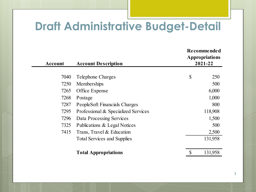## **Draft Administrative Budget-Detail**

| <b>Account</b> | <b>Account Description</b>          |              | Recommended<br><b>Appropriations</b><br>2021-22 |  |  |
|----------------|-------------------------------------|--------------|-------------------------------------------------|--|--|
|                |                                     |              |                                                 |  |  |
| 7040           | Telephone Charges                   | $\mathbb{S}$ | 250                                             |  |  |
| 7250           | Memberships                         |              | 500                                             |  |  |
| 7265           | Office Expense                      |              | 6,000                                           |  |  |
| 7268           | Postage                             |              | 1,000                                           |  |  |
| 7287           | PeopleSoft Financials Charges       |              | 800                                             |  |  |
| 7295           | Professional & Specialized Services |              | 118,908                                         |  |  |
| 7296           | Data Processing Services            |              | 1,500                                           |  |  |
| 7325           | Publications & Legal Notices        |              | 500                                             |  |  |
| 7415           | Trans, Travel & Education           |              | 2,500                                           |  |  |
|                | <b>Total Services and Supplies</b>  |              | 131,958                                         |  |  |
|                | <b>Total Appropriations</b>         |              | 131,958                                         |  |  |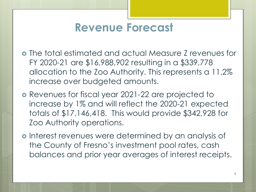### **Revenue Forecast**

- The total estimated and actual Measure Z revenues for FY 2020-21 are \$16,988,902 resulting in a \$339,778 allocation to the Zoo Authority. This represents a 11.2% increase over budgeted amounts.
- Revenues for fiscal year 2021-22 are projected to increase by 1% and will reflect the 2020-21 expected totals of \$17,146,418. This would provide \$342,928 for Zoo Authority operations.
- o Interest revenues were determined by an analysis of the County of Fresno's investment pool rates, cash balances and prior year averages of interest receipts.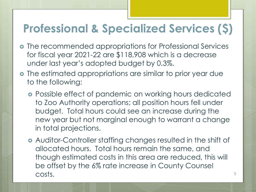## **Professional & Specialized Services (\$)**

- o The recommended appropriations for Professional Services for fiscal year 2021-22 are \$118,908 which is a decrease under last year's adopted budget by 0.3%.
- The estimated appropriations are similar to prior year due to the following:
	- **•** Possible effect of pandemic on working hours dedicated to Zoo Authority operations; all position hours fell under budget. Total hours could see an increase during the new year but not marginal enough to warrant a change in total projections.
	- Auditor-Controller staffing changes resulted in the shift of allocated hours. Total hours remain the same, and though estimated costs in this area are reduced, this will be offset by the 6% rate increase in County Counsel costs.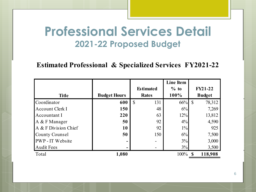### **Professional Services Detail 2021-22 Proposed Budget**

#### **Estimated Professional & Specialized Services FY2021-22**

|                       |                     |                     | <b>Line Item</b> |                |
|-----------------------|---------------------|---------------------|------------------|----------------|
|                       |                     | <b>Estimated</b>    | $%$ to           | <b>FY21-22</b> |
| <b>Title</b>          | <b>Budget Hours</b> | <b>Rates</b>        | 100%             | <b>Budget</b>  |
| Coordinator           | 600                 | $\mathbb{S}$<br>131 | 66%              | 78,312<br>-S   |
| Account Clerk I       | <b>150</b>          | 48                  | 6%               | 7,269          |
| Accountant I          | 220                 | 63                  | 12%              | 13,812         |
| A & F Manager         | 50                  | 92                  | 4%               | 4,590          |
| A & F Division Chief  | 10                  | 92                  | $1\%$            | 925            |
| <b>County Counsel</b> | 50                  | 150                 | 6%               | 7,500          |
| PWP - IT Website      |                     |                     | 3%               | 3,000          |
| <b>Audit Fees</b>     |                     |                     | 3%               | 3,500          |
| Total                 | 1,080               |                     | 100%             | 118,908        |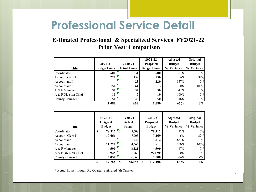## **Professional Service Detail**

#### **Estimated Professional & Specialized Services FY2021-22 Prior Year Comparison**

|                      |                     |                     | 2021-22             | <b>Adjusted</b> | Original                |
|----------------------|---------------------|---------------------|---------------------|-----------------|-------------------------|
|                      | 2020-21             | 2020-21             | <b>Proposed</b>     | <b>Budget</b>   | <b>Budget</b>           |
| Title                | <b>Budget Hours</b> | <b>Actual Hours</b> | <b>Budget Hours</b> | % Variance      | <b>Variance</b><br>$\%$ |
| Coordinator          | 600                 | 331                 | 600                 | $-81%$          | 0%                      |
| Account Clerk I      | 220                 | 159                 | 150                 | 6%              | 32%                     |
| Accountant I         | ۰                   | 23                  | 220                 | $-857%$         | 0%                      |
| Accountant II        | 150                 | 61                  | ۰                   | 100%            | 100%                    |
| A & F Manager        | 50                  | 34                  | 50                  | $-47%$          | 0%                      |
| A & F Division Chief | 10                  |                     | 10                  | $-100%$         | 0%                      |
| County Counsel       | 50                  | 43                  | 50                  | $-16%$          | 0%                      |
|                      | 1,080               | 656                 | 1,080               | 65%             | $0\%$                   |

| <b>Title</b>         |   | $FY20-21$<br>Original<br><b>Budget</b> |               | <b>FY20-21</b><br>Actual<br><b>Budget</b> | $FY21-22$<br><b>Proposed</b><br><b>Budget</b> | <b>Adjusted</b><br><b>Budget</b><br>% Variance | Original<br><b>Budget</b><br>Variance<br>$\frac{1}{2}$ |
|----------------------|---|----------------------------------------|---------------|-------------------------------------------|-----------------------------------------------|------------------------------------------------|--------------------------------------------------------|
| Coordinator          | S | 78,312                                 | <sup>\$</sup> | 45,608                                    | 78,312                                        | $-72%$                                         | 0%                                                     |
| Account Clerk I      |   | 10,661                                 |               | 7,705                                     | 7,269                                         | 6%                                             | 32%                                                    |
| Accountant I         |   | -                                      |               | 1,444                                     | 13,812                                        | $-857%$                                        | 0%                                                     |
| Accountant II        |   | 11,220                                 |               | 4,563                                     |                                               | 100%                                           | 100%                                                   |
| A & F Manager        |   | 4,590                                  |               | 3,121                                     | 4,590                                         | $-47%$                                         | 0%                                                     |
| A & F Division Chief |   | 925                                    |               | 462                                       | 924.90                                        | $-100%$                                        | 0%                                                     |
| County Counsel       |   | 7,050                                  |               | 6,063                                     | 7,500                                         | $-24%$                                         | $-6%$                                                  |
|                      | S | 112,758                                | S             | 68,966                                    | 112,408                                       | 63%                                            | $0\%$                                                  |

\* Actual hours through 3rd Quarter, estimated 4th Quarter